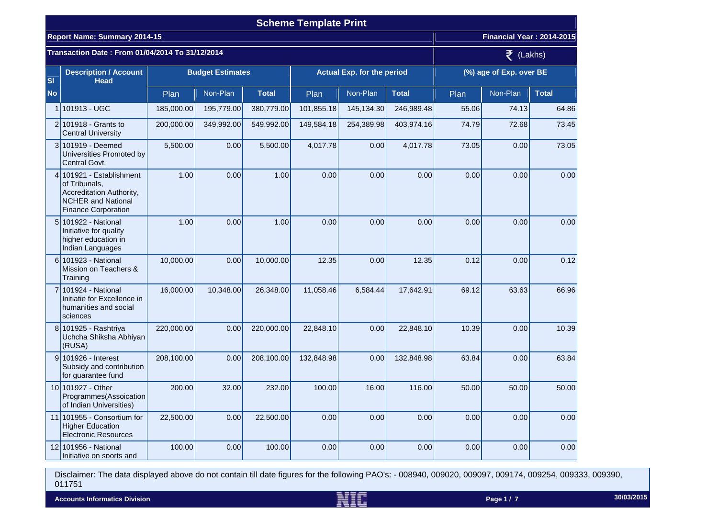|           |                                                                                                                                  |                         |              |              | <b>Scheme Template Print</b>      |            |              |                         |                           |              |
|-----------|----------------------------------------------------------------------------------------------------------------------------------|-------------------------|--------------|--------------|-----------------------------------|------------|--------------|-------------------------|---------------------------|--------------|
|           | <b>Report Name: Summary 2014-15</b>                                                                                              |                         |              |              |                                   |            |              |                         | Financial Year: 2014-2015 |              |
|           | Transaction Date: From 01/04/2014 To 31/12/2014                                                                                  |                         | (Lakhs)<br>₹ |              |                                   |            |              |                         |                           |              |
| <b>SI</b> | <b>Description / Account</b><br><b>Head</b>                                                                                      | <b>Budget Estimates</b> |              |              | <b>Actual Exp. for the period</b> |            |              | (%) age of Exp. over BE |                           |              |
| <b>No</b> |                                                                                                                                  | Plan                    | Non-Plan     | <b>Total</b> | Plan                              | Non-Plan   | <b>Total</b> | Plan                    | Non-Plan                  | <b>Total</b> |
|           | 1 101913 - UGC                                                                                                                   | 185,000.00              | 195,779.00   | 380,779.00   | 101,855.18                        | 145,134.30 | 246,989.48   | 55.06                   | 74.13                     | 64.86        |
|           | $2 101918 -$ Grants to<br><b>Central University</b>                                                                              | 200,000.00              | 349,992.00   | 549,992.00   | 149,584.18                        | 254,389.98 | 403,974.16   | 74.79                   | 72.68                     | 73.45        |
|           | 3 101919 - Deemed<br>Universities Promoted by<br>Central Govt.                                                                   | 5,500.00                | 0.00         | 5,500.00     | 4,017.78                          | 0.00       | 4,017.78     | 73.05                   | 0.00                      | 73.05        |
|           | 4 101921 - Establishment<br>of Tribunals,<br>Accreditation Authority,<br><b>NCHER and National</b><br><b>Finance Corporation</b> | 1.00                    | 0.00         | 1.00         | 0.00                              | 0.00       | 0.00         | 0.00                    | 0.00                      | 0.00         |
|           | 5 101922 - National<br>Initiative for quality<br>higher education in<br>Indian Languages                                         | 1.00                    | 0.00         | 1.00         | 0.00                              | 0.00       | 0.00         | 0.00                    | 0.00                      | 0.00         |
|           | 6 101923 - National<br>Mission on Teachers &<br>Training                                                                         | 10,000.00               | 0.00         | 10,000.00    | 12.35                             | 0.00       | 12.35        | 0.12                    | 0.00                      | 0.12         |
|           | 7 101924 - National<br>Initiatie for Excellence in<br>humanities and social<br>sciences                                          | 16,000.00               | 10,348.00    | 26,348.00    | 11,058.46                         | 6,584.44   | 17,642.91    | 69.12                   | 63.63                     | 66.96        |
|           | 8 101925 - Rashtriya<br>Uchcha Shiksha Abhiyan<br>(RUSA)                                                                         | 220,000.00              | 0.00         | 220,000.00   | 22,848.10                         | 0.00       | 22,848.10    | 10.39                   | 0.00                      | 10.39        |
|           | 9 101926 - Interest<br>Subsidy and contribution<br>for guarantee fund                                                            | 208,100.00              | 0.00         | 208,100.00   | 132,848.98                        | 0.00       | 132,848.98   | 63.84                   | 0.00                      | 63.84        |
|           | 10 101927 - Other<br>Programmes (Assoication<br>of Indian Universities)                                                          | 200.00                  | 32.00        | 232.00       | 100.00                            | 16.00      | 116.00       | 50.00                   | 50.00                     | 50.00        |
|           | 11 101955 - Consortium for<br><b>Higher Education</b><br><b>Electronic Resources</b>                                             | 22,500.00               | 0.00         | 22,500.00    | 0.00                              | 0.00       | 0.00         | 0.00                    | 0.00                      | 0.00         |
|           | 12 101956 - National<br>Initiative on sports and                                                                                 | 100.00                  | 0.00         | 100.00       | 0.00                              | 0.00       | 0.00         | 0.00                    | 0.00                      | 0.00         |

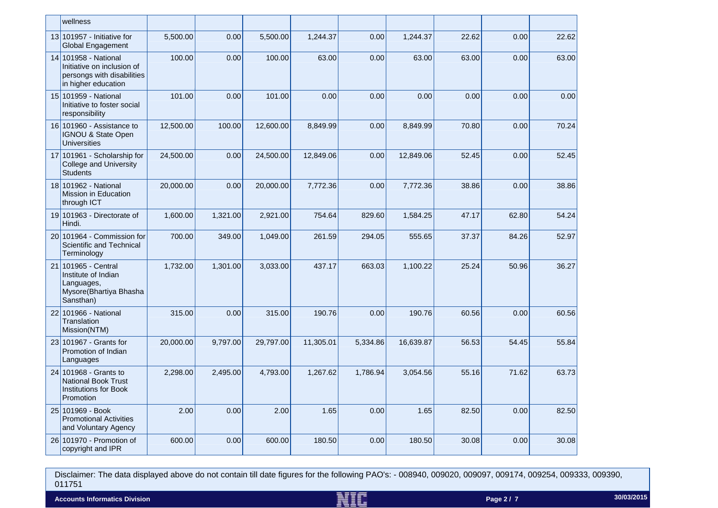| wellness                                                                                                |           |          |           |           |          |           |       |       |       |
|---------------------------------------------------------------------------------------------------------|-----------|----------|-----------|-----------|----------|-----------|-------|-------|-------|
| 13 101957 - Initiative for<br>Global Engagement                                                         | 5,500.00  | 0.00     | 5,500.00  | 1,244.37  | 0.00     | 1,244.37  | 22.62 | 0.00  | 22.62 |
| 14 101958 - National<br>Initiative on inclusion of<br>persongs with disabilities<br>in higher education | 100.00    | 0.00     | 100.00    | 63.00     | 0.00     | 63.00     | 63.00 | 0.00  | 63.00 |
| 15 101959 - National<br>Initiative to foster social<br>responsibility                                   | 101.00    | 0.00     | 101.00    | 0.00      | 0.00     | 0.00      | 0.00  | 0.00  | 0.00  |
| 16 101960 - Assistance to<br>IGNOU & State Open<br><b>Universities</b>                                  | 12,500.00 | 100.00   | 12,600.00 | 8,849.99  | 0.00     | 8,849.99  | 70.80 | 0.00  | 70.24 |
| 17 101961 - Scholarship for<br><b>College and University</b><br><b>Students</b>                         | 24,500.00 | 0.00     | 24,500.00 | 12,849.06 | 0.00     | 12,849.06 | 52.45 | 0.00  | 52.45 |
| 18 101962 - National<br>Mission in Education<br>through ICT                                             | 20,000.00 | 0.00     | 20,000.00 | 7,772.36  | 0.00     | 7,772.36  | 38.86 | 0.00  | 38.86 |
| 19 101963 - Directorate of<br>Hindi.                                                                    | 1,600.00  | 1,321.00 | 2,921.00  | 754.64    | 829.60   | 1,584.25  | 47.17 | 62.80 | 54.24 |
| $20 101964 -$ Commission for<br>Scientific and Technical<br>Terminology                                 | 700.00    | 349.00   | 1,049.00  | 261.59    | 294.05   | 555.65    | 37.37 | 84.26 | 52.97 |
| 21 101965 - Central<br>Institute of Indian<br>Languages,<br>Mysore(Bhartiya Bhasha<br>Sansthan)         | 1,732.00  | 1,301.00 | 3,033.00  | 437.17    | 663.03   | 1,100.22  | 25.24 | 50.96 | 36.27 |
| 22 101966 - National<br>Translation<br>Mission(NTM)                                                     | 315.00    | 0.00     | 315.00    | 190.76    | 0.00     | 190.76    | 60.56 | 0.00  | 60.56 |
| 23 101967 - Grants for<br>Promotion of Indian<br>Languages                                              | 20,000.00 | 9,797.00 | 29,797.00 | 11,305.01 | 5,334.86 | 16,639.87 | 56.53 | 54.45 | 55.84 |
| 24 101968 - Grants to<br><b>National Book Trust</b><br><b>Institutions for Book</b><br>Promotion        | 2,298.00  | 2,495.00 | 4,793.00  | 1,267.62  | 1,786.94 | 3,054.56  | 55.16 | 71.62 | 63.73 |
| 25 101969 - Book<br><b>Promotional Activities</b><br>and Voluntary Agency                               | 2.00      | 0.00     | 2.00      | 1.65      | 0.00     | 1.65      | 82.50 | 0.00  | 82.50 |
| 26 101970 - Promotion of<br>copyright and IPR                                                           | 600.00    | 0.00     | 600.00    | 180.50    | 0.00     | 180.50    | 30.08 | 0.00  | 30.08 |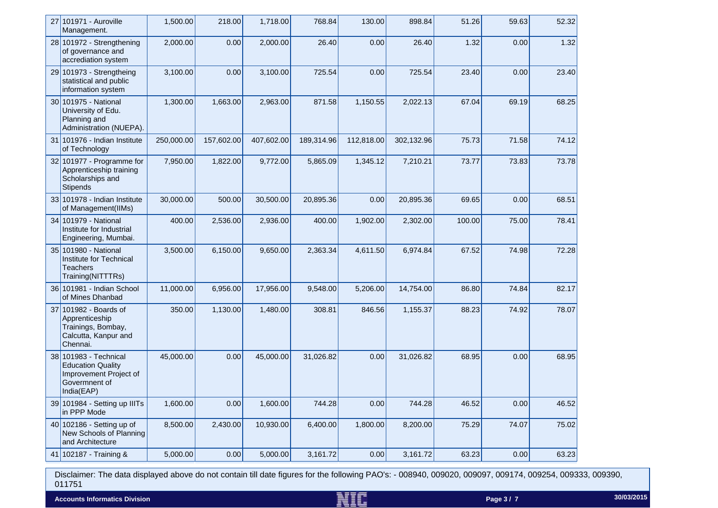| 27 101971 - Auroville<br>Management.                                                                       | 1,500.00   | 218.00     | 1,718.00   | 768.84     | 130.00     | 898.84     | 51.26  | 59.63 | 52.32 |
|------------------------------------------------------------------------------------------------------------|------------|------------|------------|------------|------------|------------|--------|-------|-------|
| $28 101972 -$ Strengthening<br>of governance and<br>accrediation system                                    | 2,000.00   | 0.00       | 2,000.00   | 26.40      | 0.00       | 26.40      | 1.32   | 0.00  | 1.32  |
| 29 101973 - Strengtheing<br>statistical and public<br>information system                                   | 3,100.00   | 0.00       | 3,100.00   | 725.54     | 0.00       | 725.54     | 23.40  | 0.00  | 23.40 |
| 30 101975 - National<br>University of Edu.<br>Planning and<br>Administration (NUEPA).                      | 1,300.00   | 1,663.00   | 2,963.00   | 871.58     | 1,150.55   | 2,022.13   | 67.04  | 69.19 | 68.25 |
| 31 101976 - Indian Institute<br>of Technology                                                              | 250,000.00 | 157,602.00 | 407,602.00 | 189,314.96 | 112,818.00 | 302,132.96 | 75.73  | 71.58 | 74.12 |
| $32 101977 - Programme for$<br>Apprenticeship training<br>Scholarships and<br><b>Stipends</b>              | 7,950.00   | 1,822.00   | 9,772.00   | 5,865.09   | 1,345.12   | 7,210.21   | 73.77  | 73.83 | 73.78 |
| $33 101978 -$ Indian Institute<br>of Management(IIMs)                                                      | 30,000.00  | 500.00     | 30,500.00  | 20,895.36  | 0.00       | 20,895.36  | 69.65  | 0.00  | 68.51 |
| 34 101979 - National<br>Institute for Industrial<br>Engineering, Mumbai.                                   | 400.00     | 2,536.00   | 2,936.00   | 400.00     | 1,902.00   | 2,302.00   | 100.00 | 75.00 | 78.41 |
| 35 101980 - National<br>Institute for Technical<br><b>Teachers</b><br>Training(NITTTRs)                    | 3,500.00   | 6,150.00   | 9,650.00   | 2,363.34   | 4,611.50   | 6,974.84   | 67.52  | 74.98 | 72.28 |
| 36 101981 - Indian School<br>of Mines Dhanbad                                                              | 11,000.00  | 6,956.00   | 17,956.00  | 9,548.00   | 5,206.00   | 14,754.00  | 86.80  | 74.84 | 82.17 |
| 37 101982 - Boards of<br>Apprenticeship<br>Trainings, Bombay,<br>Calcutta, Kanpur and<br>Chennai.          | 350.00     | 1,130.00   | 1,480.00   | 308.81     | 846.56     | 1,155.37   | 88.23  | 74.92 | 78.07 |
| 38 101983 - Technical<br><b>Education Quality</b><br>Improvement Project of<br>Govermnent of<br>India(EAP) | 45,000.00  | 0.00       | 45,000.00  | 31,026.82  | 0.00       | 31,026.82  | 68.95  | 0.00  | 68.95 |
| 39 101984 - Setting up IIITs<br>in PPP Mode                                                                | 1,600.00   | 0.00       | 1,600.00   | 744.28     | 0.00       | 744.28     | 46.52  | 0.00  | 46.52 |
| 40 102186 - Setting up of<br>New Schools of Planning<br>and Architecture                                   | 8,500.00   | 2,430.00   | 10,930.00  | 6,400.00   | 1,800.00   | 8,200.00   | 75.29  | 74.07 | 75.02 |
| 41 102187 - Training &                                                                                     | 5,000.00   | 0.00       | 5,000.00   | 3,161.72   | 0.00       | 3,161.72   | 63.23  | 0.00  | 63.23 |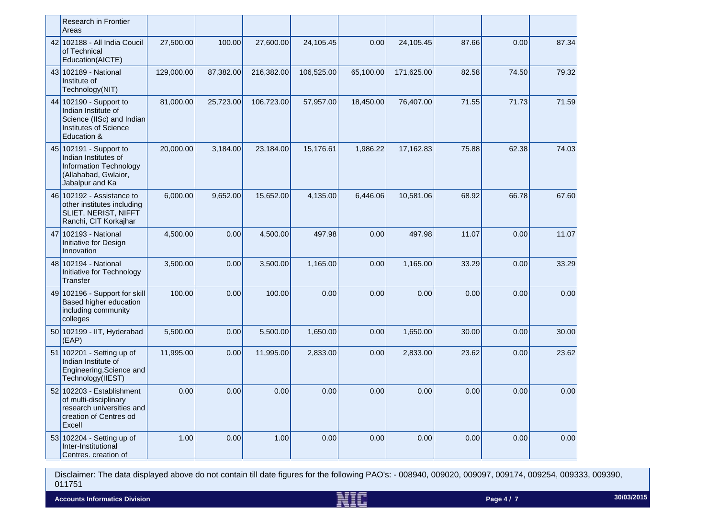| <b>Research in Frontier</b><br>Areas                                                                                      |            |           |            |            |           |            |       |       |       |
|---------------------------------------------------------------------------------------------------------------------------|------------|-----------|------------|------------|-----------|------------|-------|-------|-------|
| 42 102188 - All India Coucil<br>of Technical<br>Education(AICTE)                                                          | 27,500.00  | 100.00    | 27,600.00  | 24,105.45  | 0.00      | 24,105.45  | 87.66 | 0.00  | 87.34 |
| 43 102189 - National<br>Institute of<br>Technology(NIT)                                                                   | 129,000.00 | 87,382.00 | 216,382.00 | 106,525.00 | 65,100.00 | 171,625.00 | 82.58 | 74.50 | 79.32 |
| 44 102190 - Support to<br>Indian Institute of<br>Science (IISc) and Indian<br><b>Institutes of Science</b><br>Education & | 81,000.00  | 25,723.00 | 106,723.00 | 57,957.00  | 18,450.00 | 76,407.00  | 71.55 | 71.73 | 71.59 |
| 45 102191 - Support to<br>Indian Institutes of<br>Information Technology<br>(Allahabad, Gwlaior,<br>Jabalpur and Ka       | 20,000.00  | 3,184.00  | 23,184.00  | 15,176.61  | 1,986.22  | 17,162.83  | 75.88 | 62.38 | 74.03 |
| 46 102192 - Assistance to<br>other institutes including<br>SLIET, NERIST, NIFFT<br>Ranchi, CIT Korkajhar                  | 6,000.00   | 9,652.00  | 15,652.00  | 4,135.00   | 6,446.06  | 10,581.06  | 68.92 | 66.78 | 67.60 |
| 47 102193 - National<br>Initiative for Design<br>Innovation                                                               | 4,500.00   | 0.00      | 4,500.00   | 497.98     | 0.00      | 497.98     | 11.07 | 0.00  | 11.07 |
| 48 102194 - National<br>Initiative for Technology<br>Transfer                                                             | 3,500.00   | 0.00      | 3,500.00   | 1,165.00   | 0.00      | 1,165.00   | 33.29 | 0.00  | 33.29 |
| 49 102196 - Support for skill<br>Based higher education<br>including community<br>colleges                                | 100.00     | 0.00      | 100.00     | 0.00       | 0.00      | 0.00       | 0.00  | 0.00  | 0.00  |
| 50 102199 - IIT, Hyderabad<br>(EAP)                                                                                       | 5,500.00   | 0.00      | 5,500.00   | 1,650.00   | 0.00      | 1,650.00   | 30.00 | 0.00  | 30.00 |
| 51 102201 - Setting up of<br>Indian Institute of<br>Engineering, Science and<br>Technology(IIEST)                         | 11,995.00  | 0.00      | 11,995.00  | 2,833.00   | 0.00      | 2,833.00   | 23.62 | 0.00  | 23.62 |
| $52$ 102203 - Establishment<br>of multi-disciplinary<br>research universities and<br>creation of Centres od<br>Excell     | 0.00       | 0.00      | 0.00       | 0.00       | 0.00      | 0.00       | 0.00  | 0.00  | 0.00  |
| 53 102204 - Setting up of<br>Inter-Institutional<br>Centres creation of                                                   | 1.00       | 0.00      | 1.00       | 0.00       | 0.00      | 0.00       | 0.00  | 0.00  | 0.00  |

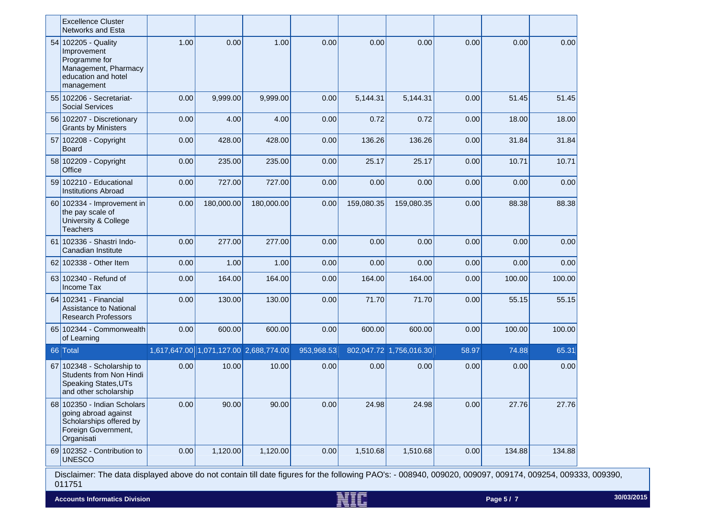|    | <b>Excellence Cluster</b><br><b>Networks and Esta</b>                                                               |      |                                        |            |            |            |                         |       |        |        |
|----|---------------------------------------------------------------------------------------------------------------------|------|----------------------------------------|------------|------------|------------|-------------------------|-------|--------|--------|
|    | 54 102205 - Quality<br>Improvement<br>Programme for<br>Management, Pharmacy<br>education and hotel<br>management    | 1.00 | 0.00                                   | 1.00       | 0.00       | 0.00       | 0.00                    | 0.00  | 0.00   | 0.00   |
|    | 55 102206 - Secretariat-<br><b>Social Services</b>                                                                  | 0.00 | 9,999.00                               | 9,999.00   | 0.00       | 5,144.31   | 5,144.31                | 0.00  | 51.45  | 51.45  |
|    | 56 102207 - Discretionary<br><b>Grants by Ministers</b>                                                             | 0.00 | 4.00                                   | 4.00       | 0.00       | 0.72       | 0.72                    | 0.00  | 18.00  | 18.00  |
|    | 57 102208 - Copyright<br><b>Board</b>                                                                               | 0.00 | 428.00                                 | 428.00     | 0.00       | 136.26     | 136.26                  | 0.00  | 31.84  | 31.84  |
|    | 58 102209 - Copyright<br>Office                                                                                     | 0.00 | 235.00                                 | 235.00     | 0.00       | 25.17      | 25.17                   | 0.00  | 10.71  | 10.71  |
|    | 59 102210 - Educational<br><b>Institutions Abroad</b>                                                               | 0.00 | 727.00                                 | 727.00     | 0.00       | 0.00       | 0.00                    | 0.00  | 0.00   | 0.00   |
|    | 60 102334 - Improvement in<br>the pay scale of<br><b>University &amp; College</b><br><b>Teachers</b>                | 0.00 | 180,000.00                             | 180,000.00 | 0.00       | 159,080.35 | 159,080.35              | 0.00  | 88.38  | 88.38  |
| 61 | 102336 - Shastri Indo-<br>Canadian Institute                                                                        | 0.00 | 277.00                                 | 277.00     | 0.00       | 0.00       | 0.00                    | 0.00  | 0.00   | 0.00   |
|    | 62 102338 - Other Item                                                                                              | 0.00 | 1.00                                   | 1.00       | 0.00       | 0.00       | 0.00                    | 0.00  | 0.00   | 0.00   |
|    | 63 102340 - Refund of<br>Income Tax                                                                                 | 0.00 | 164.00                                 | 164.00     | 0.00       | 164.00     | 164.00                  | 0.00  | 100.00 | 100.00 |
|    | 64 102341 - Financial<br><b>Assistance to National</b><br><b>Research Professors</b>                                | 0.00 | 130.00                                 | 130.00     | 0.00       | 71.70      | 71.70                   | 0.00  | 55.15  | 55.15  |
|    | 65 102344 - Commonwealth<br>of Learning                                                                             | 0.00 | 600.00                                 | 600.00     | 0.00       | 600.00     | 600.00                  | 0.00  | 100.00 | 100.00 |
|    | 66 Total                                                                                                            |      | 1,617,647.00 1,071,127.00 2,688,774.00 |            | 953,968.53 |            | 802,047.72 1,756,016.30 | 58.97 | 74.88  | 65.31  |
|    | 67 102348 - Scholarship to<br>Students from Non Hindi<br>Speaking States, UTs<br>and other scholarship              | 0.00 | 10.00                                  | 10.00      | 0.00       | 0.00       | 0.00                    | 0.00  | 0.00   | 0.00   |
|    | 68 102350 - Indian Scholars<br>going abroad against<br>Scholarships offered by<br>Foreign Government,<br>Organisati | 0.00 | 90.00                                  | 90.00      | 0.00       | 24.98      | 24.98                   | 0.00  | 27.76  | 27.76  |
|    | 69 102352 - Contribution to<br><b>UNESCO</b>                                                                        | 0.00 | 1,120.00                               | 1,120.00   | 0.00       | 1,510.68   | 1,510.68                | 0.00  | 134.88 | 134.88 |

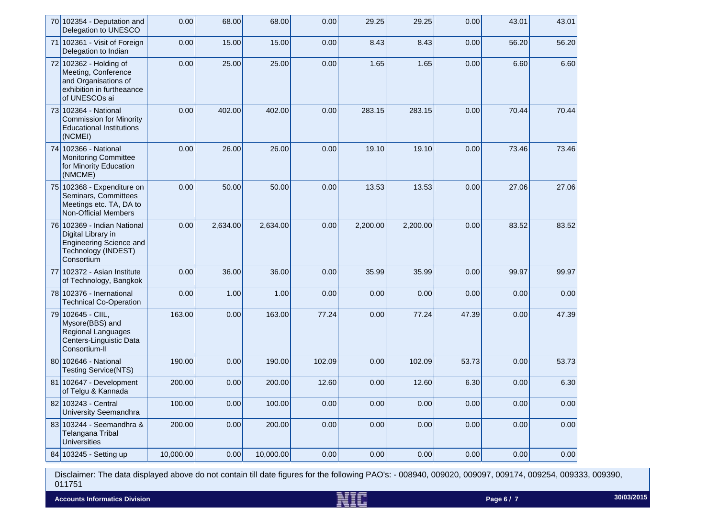|    | 70 102354 - Deputation and<br>Delegation to UNESCO                                                                       | 0.00      | 68.00    | 68.00     | 0.00   | 29.25    | 29.25    | 0.00  | 43.01 | 43.01 |
|----|--------------------------------------------------------------------------------------------------------------------------|-----------|----------|-----------|--------|----------|----------|-------|-------|-------|
|    | 71 102361 - Visit of Foreign<br>Delegation to Indian                                                                     | 0.00      | 15.00    | 15.00     | 0.00   | 8.43     | 8.43     | 0.00  | 56.20 | 56.20 |
|    | 72 102362 - Holding of<br>Meeting, Conference<br>and Organisations of<br>exhibition in furtheaance<br>of UNESCOs ai      | 0.00      | 25.00    | 25.00     | 0.00   | 1.65     | 1.65     | 0.00  | 6.60  | 6.60  |
|    | 73 102364 - National<br><b>Commission for Minority</b><br><b>Educational Institutions</b><br>(NCMEI)                     | 0.00      | 402.00   | 402.00    | 0.00   | 283.15   | 283.15   | 0.00  | 70.44 | 70.44 |
|    | 74 102366 - National<br><b>Monitoring Committee</b><br>for Minority Education<br>(NMCME)                                 | 0.00      | 26.00    | 26.00     | 0.00   | 19.10    | 19.10    | 0.00  | 73.46 | 73.46 |
|    | 75 102368 - Expenditure on<br>Seminars, Committees<br>Meetings etc. TA, DA to<br><b>Non-Official Members</b>             | 0.00      | 50.00    | 50.00     | 0.00   | 13.53    | 13.53    | 0.00  | 27.06 | 27.06 |
|    | 76 102369 - Indian National<br>Digital Library in<br><b>Engineering Science and</b><br>Technology (INDEST)<br>Consortium | 0.00      | 2,634.00 | 2,634.00  | 0.00   | 2,200.00 | 2,200.00 | 0.00  | 83.52 | 83.52 |
| 77 | 102372 - Asian Institute<br>of Technology, Bangkok                                                                       | 0.00      | 36.00    | 36.00     | 0.00   | 35.99    | 35.99    | 0.00  | 99.97 | 99.97 |
|    | 78 102376 - Inernational<br><b>Technical Co-Operation</b>                                                                | 0.00      | 1.00     | 1.00      | 0.00   | 0.00     | 0.00     | 0.00  | 0.00  | 0.00  |
|    | 79 102645 - CIIL,<br>Mysore(BBS) and<br>Regional Languages<br>Centers-Linguistic Data<br>Consortium-II                   | 163.00    | 0.00     | 163.00    | 77.24  | 0.00     | 77.24    | 47.39 | 0.00  | 47.39 |
|    | 80 102646 - National<br><b>Testing Service(NTS)</b>                                                                      | 190.00    | 0.00     | 190.00    | 102.09 | 0.00     | 102.09   | 53.73 | 0.00  | 53.73 |
|    | 81 102647 - Development<br>of Telgu & Kannada                                                                            | 200.00    | 0.00     | 200.00    | 12.60  | 0.00     | 12.60    | 6.30  | 0.00  | 6.30  |
|    | 82 103243 - Central<br><b>University Seemandhra</b>                                                                      | 100.00    | 0.00     | 100.00    | 0.00   | 0.00     | 0.00     | 0.00  | 0.00  | 0.00  |
|    | 83 103244 - Seemandhra &<br>Telangana Tribal<br><b>Universities</b>                                                      | 200.00    | 0.00     | 200.00    | 0.00   | 0.00     | 0.00     | 0.00  | 0.00  | 0.00  |
|    | 84 103245 - Setting up                                                                                                   | 10,000.00 | 0.00     | 10,000.00 | 0.00   | 0.00     | 0.00     | 0.00  | 0.00  | 0.00  |